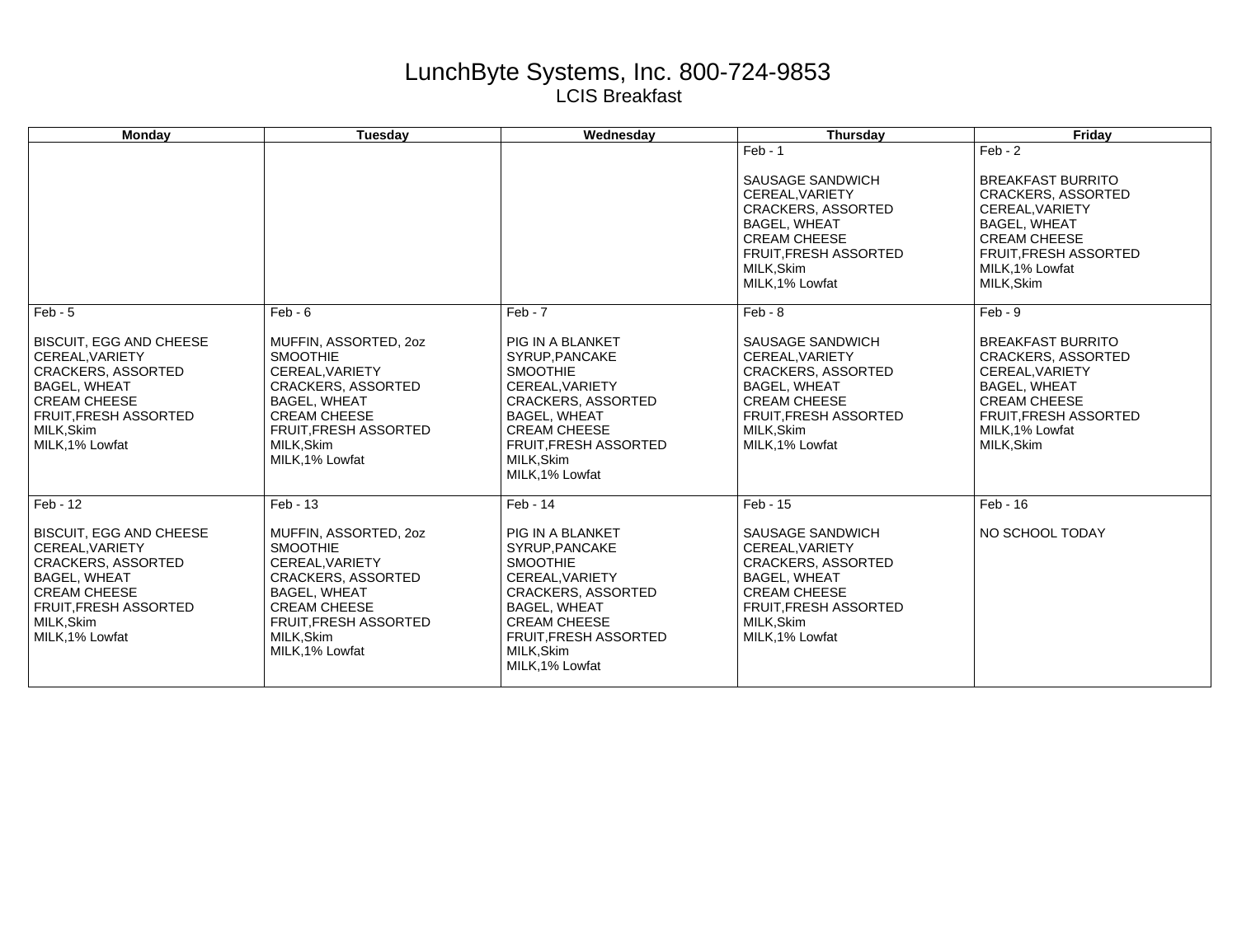## LunchByte Systems, Inc. 800-724-9853 LCIS Breakfast

| <b>Mondav</b>                                                                                                                                                                               | <b>Tuesdav</b>                                                                                                                                                                                         | Wednesday                                                                                                                                                                                                           | Thursday                                                                                                                                                                                    | Fridav                                                                                                                                                                                       |
|---------------------------------------------------------------------------------------------------------------------------------------------------------------------------------------------|--------------------------------------------------------------------------------------------------------------------------------------------------------------------------------------------------------|---------------------------------------------------------------------------------------------------------------------------------------------------------------------------------------------------------------------|---------------------------------------------------------------------------------------------------------------------------------------------------------------------------------------------|----------------------------------------------------------------------------------------------------------------------------------------------------------------------------------------------|
|                                                                                                                                                                                             |                                                                                                                                                                                                        |                                                                                                                                                                                                                     | $Feb - 1$<br>SAUSAGE SANDWICH<br>CEREAL.VARIETY<br><b>CRACKERS, ASSORTED</b><br><b>BAGEL, WHEAT</b><br><b>CREAM CHEESE</b><br><b>FRUIT, FRESH ASSORTED</b><br>MILK, Skim<br>MILK, 1% Lowfat | $Feb - 2$<br><b>BREAKFAST BURRITO</b><br><b>CRACKERS, ASSORTED</b><br>CEREAL.VARIETY<br><b>BAGEL, WHEAT</b><br><b>CREAM CHEESE</b><br>FRUIT, FRESH ASSORTED<br>MILK, 1% Lowfat<br>MILK, Skim |
| $Feb - 5$                                                                                                                                                                                   | $Feb - 6$                                                                                                                                                                                              | $Feb - 7$                                                                                                                                                                                                           | $Feb - 8$                                                                                                                                                                                   | $Feb - 9$                                                                                                                                                                                    |
| <b>BISCUIT, EGG AND CHEESE</b><br>CEREAL.VARIETY<br><b>CRACKERS, ASSORTED</b><br><b>BAGEL, WHEAT</b><br><b>CREAM CHEESE</b><br>FRUIT, FRESH ASSORTED<br>MILK, Skim<br>MILK, 1% Lowfat       | MUFFIN, ASSORTED, 20Z<br><b>SMOOTHIE</b><br>CEREAL.VARIETY<br><b>CRACKERS, ASSORTED</b><br><b>BAGEL, WHEAT</b><br><b>CREAM CHEESE</b><br><b>FRUIT, FRESH ASSORTED</b><br>MILK.Skim<br>MILK, 1% Lowfat  | PIG IN A BLANKET<br>SYRUP, PANCAKE<br><b>SMOOTHIE</b><br>CEREAL.VARIETY<br><b>CRACKERS, ASSORTED</b><br><b>BAGEL, WHEAT</b><br><b>CREAM CHEESE</b><br><b>FRUIT.FRESH ASSORTED</b><br>MILK, Skim<br>MILK, 1% Lowfat  | SAUSAGE SANDWICH<br>CEREAL, VARIETY<br><b>CRACKERS, ASSORTED</b><br><b>BAGEL, WHEAT</b><br><b>CREAM CHEESE</b><br><b>FRUIT, FRESH ASSORTED</b><br>MILK.Skim<br>MILK, 1% Lowfat              | <b>BREAKFAST BURRITO</b><br><b>CRACKERS, ASSORTED</b><br>CEREAL, VARIETY<br><b>BAGEL, WHEAT</b><br><b>CREAM CHEESE</b><br><b>FRUIT, FRESH ASSORTED</b><br>MILK.1% Lowfat<br>MILK, Skim       |
| Feb - 12                                                                                                                                                                                    | Feb - 13                                                                                                                                                                                               | Feb - 14                                                                                                                                                                                                            | Feb - 15                                                                                                                                                                                    | Feb - 16                                                                                                                                                                                     |
| <b>BISCUIT, EGG AND CHEESE</b><br>CEREAL.VARIETY<br><b>CRACKERS, ASSORTED</b><br><b>BAGEL, WHEAT</b><br><b>CREAM CHEESE</b><br><b>FRUIT.FRESH ASSORTED</b><br>MILK, Skim<br>MILK, 1% Lowfat | MUFFIN, ASSORTED, 20Z<br><b>SMOOTHIE</b><br>CEREAL.VARIETY<br><b>CRACKERS, ASSORTED</b><br><b>BAGEL, WHEAT</b><br><b>CREAM CHEESE</b><br><b>FRUIT, FRESH ASSORTED</b><br>MILK, Skim<br>MILK, 1% Lowfat | PIG IN A BLANKET<br>SYRUP, PANCAKE<br><b>SMOOTHIE</b><br>CEREAL.VARIETY<br><b>CRACKERS, ASSORTED</b><br><b>BAGEL, WHEAT</b><br><b>CREAM CHEESE</b><br><b>FRUIT, FRESH ASSORTED</b><br>MILK, Skim<br>MILK, 1% Lowfat | SAUSAGE SANDWICH<br>CEREAL, VARIETY<br><b>CRACKERS, ASSORTED</b><br><b>BAGEL, WHEAT</b><br><b>CREAM CHEESE</b><br><b>FRUIT.FRESH ASSORTED</b><br>MILK, Skim<br>MILK, 1% Lowfat              | NO SCHOOL TODAY                                                                                                                                                                              |